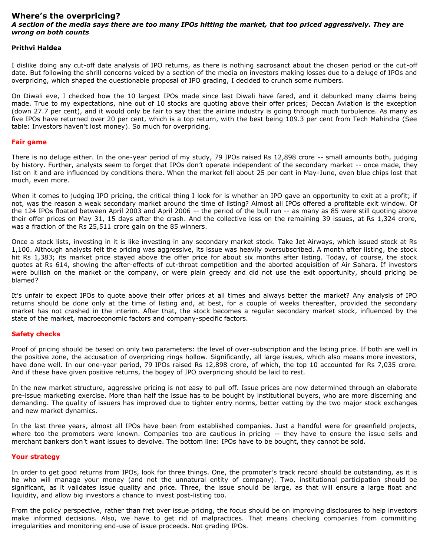### **Where's the overpricing?** *A section of the media says there are too many IPOs hitting the market, that too priced aggressively. They are wrong on both counts*

#### **Prithvi Haldea**

I dislike doing any cut-off date analysis of IPO returns, as there is nothing sacrosanct about the chosen period or the cut-off date. But following the shrill concerns voiced by a section of the media on investors making losses due to a deluge of IPOs and overpricing, which shaped the questionable proposal of IPO grading, I decided to crunch some numbers.

On Diwali eve, I checked how the 10 largest IPOs made since last Diwali have fared, and it debunked many claims being made. True to my expectations, nine out of 10 stocks are quoting above their offer prices; Deccan Aviation is the exception (down 27.7 per cent), and it would only be fair to say that the airline industry is going through much turbulence. As many as five IPOs have returned over 20 per cent, which is a top return, with the best being 109.3 per cent from Tech Mahindra (See table: Investors haven't lost money). So much for overpricing.

#### **Fair game**

There is no deluge either. In the one-year period of my study, 79 IPOs raised Rs 12,898 crore -- small amounts both, judging by history. Further, analysts seem to forget that IPOs don't operate independent of the secondary market -- once made, they list on it and are influenced by conditions there. When the market fell about 25 per cent in May-June, even blue chips lost that much, even more.

When it comes to judging IPO pricing, the critical thing I look for is whether an IPO gave an opportunity to exit at a profit; if not, was the reason a weak secondary market around the time of listing? Almost all IPOs offered a profitable exit window. Of the 124 IPOs floated between April 2003 and April 2006 -- the period of the bull run -- as many as 85 were still quoting above their offer prices on May 31, 15 days after the crash. And the collective loss on the remaining 39 issues, at Rs 1,324 crore, was a fraction of the Rs 25,511 crore gain on the 85 winners.

Once a stock lists, investing in it is like investing in any secondary market stock. Take Jet Airways, which issued stock at Rs 1,100. Although analysts felt the pricing was aggressive, its issue was heavily oversubscribed. A month after listing, the stock hit Rs 1,383; its market price stayed above the offer price for about six months after listing. Today, of course, the stock quotes at Rs 614, showing the after-effects of cut-throat competition and the aborted acquisition of Air Sahara. If investors were bullish on the market or the company, or were plain greedy and did not use the exit opportunity, should pricing be blamed?

It's unfair to expect IPOs to quote above their offer prices at all times and always better the market? Any analysis of IPO returns should be done only at the time of listing and, at best, for a couple of weeks thereafter, provided the secondary market has not crashed in the interim. After that, the stock becomes a regular secondary market stock, influenced by the state of the market, macroeconomic factors and company-specific factors.

## **Safety checks**

Proof of pricing should be based on only two parameters: the level of over-subscription and the listing price. If both are well in the positive zone, the accusation of overpricing rings hollow. Significantly, all large issues, which also means more investors, have done well. In our one-year period, 79 IPOs raised Rs 12,898 crore, of which, the top 10 accounted for Rs 7,035 crore. And if these have given positive returns, the bogey of IPO overpricing should be laid to rest.

In the new market structure, aggressive pricing is not easy to pull off. Issue prices are now determined through an elaborate pre-issue marketing exercise. More than half the issue has to be bought by institutional buyers, who are more discerning and demanding. The quality of issuers has improved due to tighter entry norms, better vetting by the two major stock exchanges and new market dynamics.

In the last three years, almost all IPOs have been from established companies. Just a handful were for greenfield projects, where too the promoters were known. Companies too are cautious in pricing -- they have to ensure the issue sells and merchant bankers don't want issues to devolve. The bottom line: IPOs have to be bought, they cannot be sold.

## **Your strategy**

In order to get good returns from IPOs, look for three things. One, the promoter's track record should be outstanding, as it is he who will manage your money (and not the unnatural entity of company). Two, institutional participation should be significant, as it validates issue quality and price. Three, the issue should be large, as that will ensure a large float and liquidity, and allow big investors a chance to invest post-listing too.

From the policy perspective, rather than fret over issue pricing, the focus should be on improving disclosures to help investors make informed decisions. Also, we have to get rid of malpractices. That means checking companies from committing irregularities and monitoring end-use of issue proceeds. Not grading IPOs.